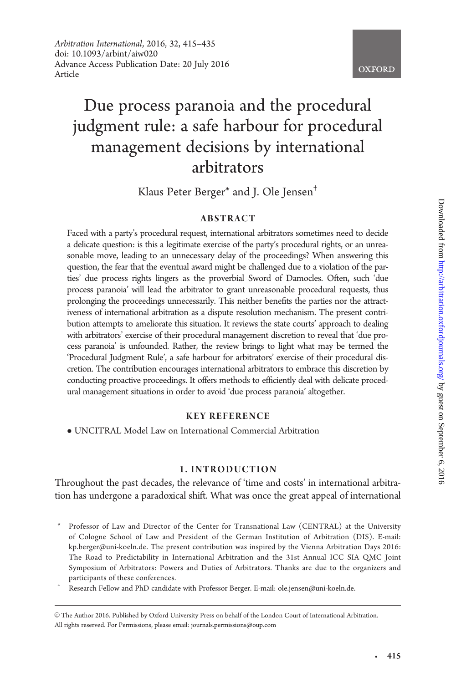# Due process paranoia and the procedural judgment rule: a safe harbour for procedural management decisions by international arbitrators

Klaus Peter Berger\* and J. Ole Jensen†

#### ABSTRACT

Faced with a party's procedural request, international arbitrators sometimes need to decide a delicate question: is this a legitimate exercise of the party's procedural rights, or an unreasonable move, leading to an unnecessary delay of the proceedings? When answering this question, the fear that the eventual award might be challenged due to a violation of the parties' due process rights lingers as the proverbial Sword of Damocles. Often, such 'due process paranoia' will lead the arbitrator to grant unreasonable procedural requests, thus prolonging the proceedings unnecessarily. This neither benefits the parties nor the attractiveness of international arbitration as a dispute resolution mechanism. The present contribution attempts to ameliorate this situation. It reviews the state courts' approach to dealing with arbitrators' exercise of their procedural management discretion to reveal that 'due process paranoia' is unfounded. Rather, the review brings to light what may be termed the 'Procedural Judgment Rule', a safe harbour for arbitrators' exercise of their procedural discretion. The contribution encourages international arbitrators to embrace this discretion by conducting proactive proceedings. It offers methods to efficiently deal with delicate procedural management situations in order to avoid 'due process paranoia' altogether.

#### KEY REFERENCE

- UNCITRAL Model Law on International Commercial Arbitration

## 1. INTRODUCTION

Throughout the past decades, the relevance of 'time and costs' in international arbitration has undergone a paradoxical shift. What was once the great appeal of international

- \* Professor of Law and Director of the Center for Transnational Law (CENTRAL) at the University of Cologne School of Law and President of the German Institution of Arbitration (DIS). E-mail: kp.berger@uni-koeln.de. The present contribution was inspired by the Vienna Arbitration Days 2016: The Road to Predictability in International Arbitration and the 31st Annual ICC SIA QMC Joint Symposium of Arbitrators: Powers and Duties of Arbitrators. Thanks are due to the organizers and
- participants of these conferences.<br>Research Fellow and PhD candidate with Professor Berger. E-mail: ole.jensen@uni-koeln.de.

-

V<sup>C</sup> The Author 2016. Published by Oxford University Press on behalf of the London Court of International Arbitration. All rights reserved. For Permissions, please email: journals.permissions@oup.com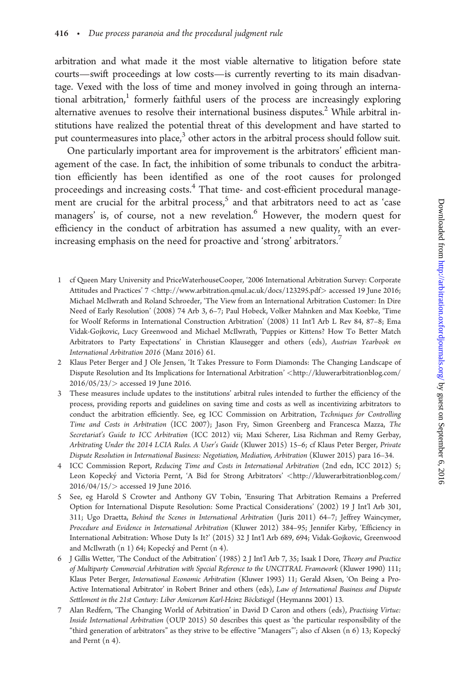arbitration and what made it the most viable alternative to litigation before state courts—swift proceedings at low costs—is currently reverting to its main disadvantage. Vexed with the loss of time and money involved in going through an international arbitration,<sup>1</sup> formerly faithful users of the process are increasingly exploring alternative avenues to resolve their international business disputes.<sup>2</sup> While arbitral institutions have realized the potential threat of this development and have started to put countermeasures into place, $3$  other actors in the arbitral process should follow suit.

One particularly important area for improvement is the arbitrators' efficient management of the case. In fact, the inhibition of some tribunals to conduct the arbitration efficiently has been identified as one of the root causes for prolonged proceedings and increasing costs.<sup>4</sup> That time- and cost-efficient procedural management are crucial for the arbitral process,<sup>5</sup> and that arbitrators need to act as 'case managers' is, of course, not a new revelation.<sup>6</sup> However, the modern quest for efficiency in the conduct of arbitration has assumed a new quality, with an everincreasing emphasis on the need for proactive and 'strong' arbitrators.<sup>7</sup>

- 1 cf Queen Mary University and PriceWaterhouseCooper, '2006 International Arbitration Survey: Corporate Attitudes and Practices' 7 <<http://www.arbitration.qmul.ac.uk/docs/123295.pdf>> accessed 19 June 2016; Michael McIlwrath and Roland Schroeder, 'The View from an International Arbitration Customer: In Dire Need of Early Resolution' (2008) 74 Arb 3, 6–7; Paul Hobeck, Volker Mahnken and Max Koebke, 'Time for Woolf Reforms in International Construction Arbitration' (2008) 11 Int'l Arb L Rev 84, 87–8; Ema Vidak-Gojkovic, Lucy Greenwood and Michael McIlwrath, 'Puppies or Kittens? How To Better Match Arbitrators to Party Expectations' in Christian Klausegger and others (eds), Austrian Yearbook on International Arbitration 2016 (Manz 2016) 61.
- 2 Klaus Peter Berger and J Ole Jensen, 'It Takes Pressure to Form Diamonds: The Changing Landscape of Dispute Resolution and Its Implications for International Arbitration' <[http://kluwerarbitrationblog.com/](http://kluwerarbitrationblog.com/2016/05/23/) [2016/05/23/](http://kluwerarbitrationblog.com/2016/05/23/)> accessed 19 June 2016.
- 3 These measures include updates to the institutions' arbitral rules intended to further the efficiency of the process, providing reports and guidelines on saving time and costs as well as incentivizing arbitrators to conduct the arbitration efficiently. See, eg ICC Commission on Arbitration, Techniques for Controlling Time and Costs in Arbitration (ICC 2007); Jason Fry, Simon Greenberg and Francesca Mazza, The Secretariat's Guide to ICC Arbitration (ICC 2012) vii; Maxi Scherer, Lisa Richman and Remy Gerbay, Arbitrating Under the 2014 LCIA Rules. A User's Guide (Kluwer 2015) 15–6; cf Klaus Peter Berger, Private Dispute Resolution in International Business: Negotiation, Mediation, Arbitration (Kluwer 2015) para 16–34.
- 4 ICC Commission Report, Reducing Time and Costs in International Arbitration (2nd edn, ICC 2012) 5; Leon Kopecký and Victoria Pernt, 'A Bid for Strong Arbitrators' <[http://kluwerarbitrationblog.com/](http://kluwerarbitrationblog.com/2016/04/15/) [2016/04/15/](http://kluwerarbitrationblog.com/2016/04/15/)> accessed 19 June 2016.
- 5 See, eg Harold S Crowter and Anthony GV Tobin, 'Ensuring That Arbitration Remains a Preferred Option for International Dispute Resolution: Some Practical Considerations' (2002) 19 J Int'l Arb 301, 311; Ugo Draetta, Behind the Scenes in International Arbitration (Juris 2011) 64–7; Jeffrey Waincymer, Procedure and Evidence in International Arbitration (Kluwer 2012) 384–95; Jennifer Kirby, 'Efficiency in International Arbitration: Whose Duty Is It?' (2015) 32 J Int'l Arb 689, 694; Vidak-Gojkovic, Greenwood and McIlwrath (n 1) 64; Kopecký and Pernt (n 4).
- 6 J Gillis Wetter, 'The Conduct of the Arbitration' (1985) 2 J Int'l Arb 7, 35; Isaak I Dore, Theory and Practice of Multiparty Commercial Arbitration with Special Reference to the UNCITRAL Framework (Kluwer 1990) 111; Klaus Peter Berger, International Economic Arbitration (Kluwer 1993) 11; Gerald Aksen, 'On Being a Pro-Active International Arbitrator' in Robert Briner and others (eds), Law of International Business and Dispute Settlement in the 21st Century: Liber Amicorum Karl-Heinz Böckstiegel (Heymanns 2001) 13.
- 7 Alan Redfern, 'The Changing World of Arbitration' in David D Caron and others (eds), Practising Virtue: Inside International Arbitration (OUP 2015) 50 describes this quest as 'the particular responsibility of the "third generation of arbitrators" as they strive to be effective "Managers"'; also cf Aksen (n 6) 13; Kopecký and Pernt (n 4).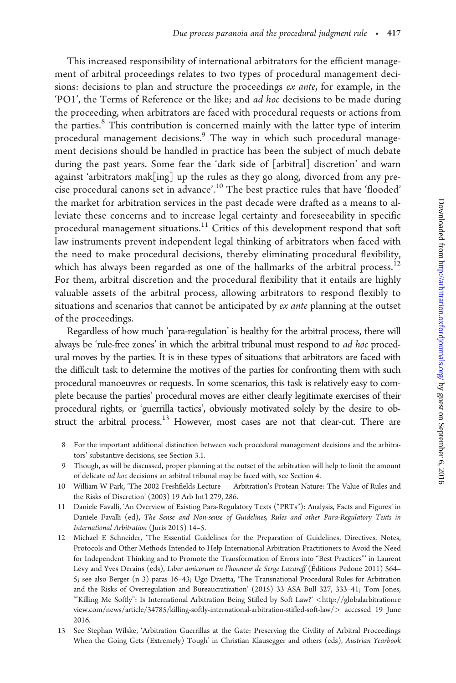This increased responsibility of international arbitrators for the efficient management of arbitral proceedings relates to two types of procedural management decisions: decisions to plan and structure the proceedings ex ante, for example, in the 'PO1', the Terms of Reference or the like; and ad hoc decisions to be made during the proceeding, when arbitrators are faced with procedural requests or actions from the parties.<sup>8</sup> This contribution is concerned mainly with the latter type of interim procedural management decisions.<sup>9</sup> The way in which such procedural management decisions should be handled in practice has been the subject of much debate during the past years. Some fear the 'dark side of [arbitral] discretion' and warn against 'arbitrators mak[ing] up the rules as they go along, divorced from any precise procedural canons set in advance'.<sup>10</sup> The best practice rules that have 'flooded' the market for arbitration services in the past decade were drafted as a means to alleviate these concerns and to increase legal certainty and foreseeability in specific procedural management situations.<sup>11</sup> Critics of this development respond that soft law instruments prevent independent legal thinking of arbitrators when faced with the need to make procedural decisions, thereby eliminating procedural flexibility, which has always been regarded as one of the hallmarks of the arbitral process.<sup>12</sup> For them, arbitral discretion and the procedural flexibility that it entails are highly valuable assets of the arbitral process, allowing arbitrators to respond flexibly to situations and scenarios that cannot be anticipated by ex ante planning at the outset of the proceedings.

Regardless of how much 'para-regulation' is healthy for the arbitral process, there will always be 'rule-free zones' in which the arbitral tribunal must respond to ad hoc procedural moves by the parties. It is in these types of situations that arbitrators are faced with the difficult task to determine the motives of the parties for confronting them with such procedural manoeuvres or requests. In some scenarios, this task is relatively easy to complete because the parties' procedural moves are either clearly legitimate exercises of their procedural rights, or 'guerrilla tactics', obviously motivated solely by the desire to obstruct the arbitral process.<sup>13</sup> However, most cases are not that clear-cut. There are

- 8 For the important additional distinction between such procedural management decisions and the arbitrators' substantive decisions, see Section 3.1.
- 9 Though, as will be discussed, proper planning at the outset of the arbitration will help to limit the amount of delicate ad hoc decisions an arbitral tribunal may be faced with, see Section 4.
- 10 William W Park, 'The 2002 Freshfields Lecture Arbitration's Protean Nature: The Value of Rules and the Risks of Discretion' (2003) 19 Arb Int'l 279, 286.
- 11 Daniele Favalli, 'An Overview of Existing Para-Regulatory Texts ("PRTs"): Analysis, Facts and Figures' in Daniele Favalli (ed), The Sense and Non-sense of Guidelines, Rules and other Para-Regulatory Texts in International Arbitration (Juris 2015) 14–5.
- 12 Michael E Schneider, 'The Essential Guidelines for the Preparation of Guidelines, Directives, Notes, Protocols and Other Methods Intended to Help International Arbitration Practitioners to Avoid the Need for Independent Thinking and to Promote the Transformation of Errors into "Best Practices"' in Laurent Lévy and Yves Derains (eds), *Liber amicorum en l'honneur de Serge Lazareff* (Éditions Pedone 2011) 564-5; see also Berger (n 3) paras 16–43; Ugo Draetta, 'The Transnational Procedural Rules for Arbitration and the Risks of Overregulation and Bureaucratization' (2015) 33 ASA Bull 327, 333–41; Tom Jones, "Killing Me Softly": Is International Arbitration Being Stifled by Soft Law?' <[http://globalarbitrationre](http://globalarbitrationreview.com/news/article/34785/killing-softly-international-arbitration-stifled-soft-law/) [view.com/news/article/34785/killing-softly-international-arbitration-stifled-soft-law/](http://globalarbitrationreview.com/news/article/34785/killing-softly-international-arbitration-stifled-soft-law/)> accessed 19 June 2016.
- 13 See Stephan Wilske, 'Arbitration Guerrillas at the Gate: Preserving the Civility of Arbitral Proceedings When the Going Gets (Extremely) Tough' in Christian Klausegger and others (eds), Austrian Yearbook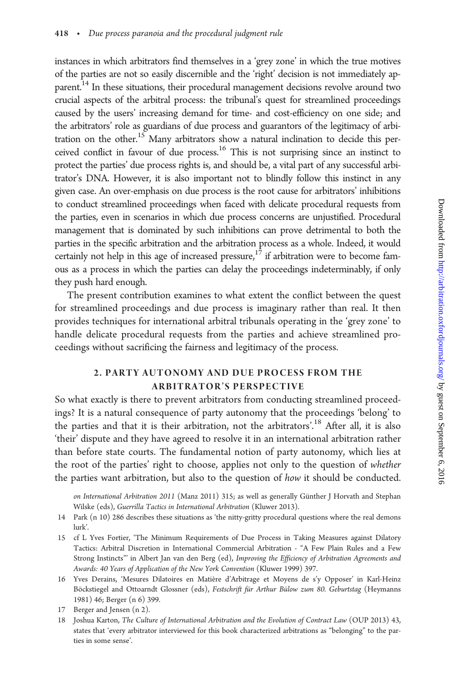instances in which arbitrators find themselves in a 'grey zone' in which the true motives of the parties are not so easily discernible and the 'right' decision is not immediately apparent.<sup>14</sup> In these situations, their procedural management decisions revolve around two crucial aspects of the arbitral process: the tribunal's quest for streamlined proceedings caused by the users' increasing demand for time- and cost-efficiency on one side; and the arbitrators' role as guardians of due process and guarantors of the legitimacy of arbitration on the other.<sup>15</sup> Many arbitrators show a natural inclination to decide this perceived conflict in favour of due process.16 This is not surprising since an instinct to protect the parties' due process rights is, and should be, a vital part of any successful arbitrator's DNA. However, it is also important not to blindly follow this instinct in any given case. An over-emphasis on due process is the root cause for arbitrators' inhibitions to conduct streamlined proceedings when faced with delicate procedural requests from the parties, even in scenarios in which due process concerns are unjustified. Procedural management that is dominated by such inhibitions can prove detrimental to both the parties in the specific arbitration and the arbitration process as a whole. Indeed, it would certainly not help in this age of increased pressure, $17$  if arbitration were to become famous as a process in which the parties can delay the proceedings indeterminably, if only they push hard enough.

The present contribution examines to what extent the conflict between the quest for streamlined proceedings and due process is imaginary rather than real. It then provides techniques for international arbitral tribunals operating in the 'grey zone' to handle delicate procedural requests from the parties and achieve streamlined proceedings without sacrificing the fairness and legitimacy of the process.

# 2. PARTY AUTONOMY AND DUE PROCESS FROM THE ARBITRATOR'S PERSPECTIVE

So what exactly is there to prevent arbitrators from conducting streamlined proceedings? It is a natural consequence of party autonomy that the proceedings 'belong' to the parties and that it is their arbitration, not the arbitrators'.<sup>18</sup> After all, it is also 'their' dispute and they have agreed to resolve it in an international arbitration rather than before state courts. The fundamental notion of party autonomy, which lies at the root of the parties' right to choose, applies not only to the question of whether the parties want arbitration, but also to the question of how it should be conducted.

on International Arbitration 2011 (Manz 2011) 315; as well as generally Günther J Horvath and Stephan Wilske (eds), Guerrilla Tactics in International Arbitration (Kluwer 2013).

- 14 Park (n 10) 286 describes these situations as 'the nitty-gritty procedural questions where the real demons lurk'.
- 15 cf L Yves Fortier, 'The Minimum Requirements of Due Process in Taking Measures against Dilatory Tactics: Arbitral Discretion in International Commercial Arbitration - "A Few Plain Rules and a Few Strong Instincts"' in Albert Jan van den Berg (ed), Improving the Efficiency of Arbitration Agreements and Awards: 40 Years of Application of the New York Convention (Kluwer 1999) 397.
- 16 Yves Derains, 'Mesures Dilatoires en Matière d'Arbitrage et Moyens de s'y Opposer' in Karl-Heinz Böckstiegel and Ottoarndt Glossner (eds), Festschrift für Arthur Bülow zum 80. Geburtstag (Heymanns 1981) 46; Berger (n 6) 399.
- 17 Berger and Jensen (n 2).
- 18 Joshua Karton, The Culture of International Arbitration and the Evolution of Contract Law (OUP 2013) 43, states that 'every arbitrator interviewed for this book characterized arbitrations as "belonging" to the parties in some sense'.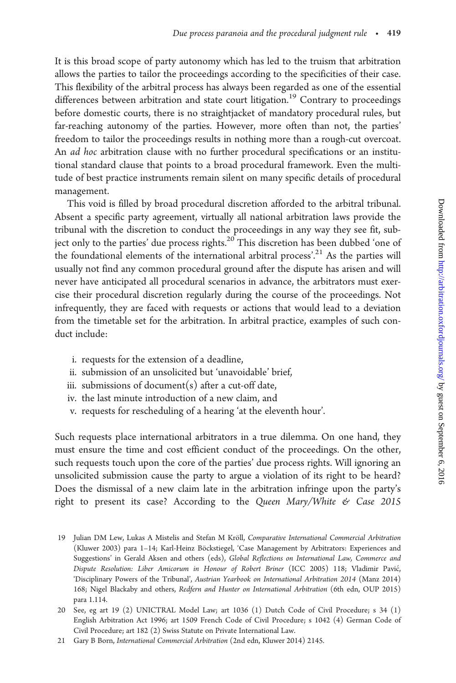It is this broad scope of party autonomy which has led to the truism that arbitration allows the parties to tailor the proceedings according to the specificities of their case. This flexibility of the arbitral process has always been regarded as one of the essential differences between arbitration and state court litigation.<sup>19</sup> Contrary to proceedings before domestic courts, there is no straightjacket of mandatory procedural rules, but far-reaching autonomy of the parties. However, more often than not, the parties' freedom to tailor the proceedings results in nothing more than a rough-cut overcoat. An ad hoc arbitration clause with no further procedural specifications or an institutional standard clause that points to a broad procedural framework. Even the multitude of best practice instruments remain silent on many specific details of procedural management.

This void is filled by broad procedural discretion afforded to the arbitral tribunal. Absent a specific party agreement, virtually all national arbitration laws provide the tribunal with the discretion to conduct the proceedings in any way they see fit, subject only to the parties' due process rights.20 This discretion has been dubbed 'one of the foundational elements of the international arbitral process'.<sup>21</sup> As the parties will usually not find any common procedural ground after the dispute has arisen and will never have anticipated all procedural scenarios in advance, the arbitrators must exercise their procedural discretion regularly during the course of the proceedings. Not infrequently, they are faced with requests or actions that would lead to a deviation from the timetable set for the arbitration. In arbitral practice, examples of such conduct include:

- i. requests for the extension of a deadline,
- ii. submission of an unsolicited but 'unavoidable' brief,
- iii. submissions of document(s) after a cut-off date,
- iv. the last minute introduction of a new claim, and
- v. requests for rescheduling of a hearing 'at the eleventh hour'.

Such requests place international arbitrators in a true dilemma. On one hand, they must ensure the time and cost efficient conduct of the proceedings. On the other, such requests touch upon the core of the parties' due process rights. Will ignoring an unsolicited submission cause the party to argue a violation of its right to be heard? Does the dismissal of a new claim late in the arbitration infringe upon the party's right to present its case? According to the Queen Mary/White & Case 2015

<sup>19</sup> Julian DM Lew, Lukas A Mistelis and Stefan M Kröll, Comparative International Commercial Arbitration (Kluwer 2003) para 1–14; Karl-Heinz Böckstiegel, 'Case Management by Arbitrators: Experiences and Suggestions' in Gerald Aksen and others (eds), Global Reflections on International Law, Commerce and Dispute Resolution: Liber Amicorum in Honour of Robert Briner (ICC 2005) 118; Vladimir Pavić, 'Disciplinary Powers of the Tribunal', Austrian Yearbook on International Arbitration 2014 (Manz 2014) 168; Nigel Blackaby and others, Redfern and Hunter on International Arbitration (6th edn, OUP 2015) para 1.114.

<sup>20</sup> See, eg art 19 (2) UNICTRAL Model Law; art 1036 (1) Dutch Code of Civil Procedure; s 34 (1) English Arbitration Act 1996; art 1509 French Code of Civil Procedure; s 1042 (4) German Code of Civil Procedure; art 182 (2) Swiss Statute on Private International Law.

<sup>21</sup> Gary B Born, International Commercial Arbitration (2nd edn, Kluwer 2014) 2145.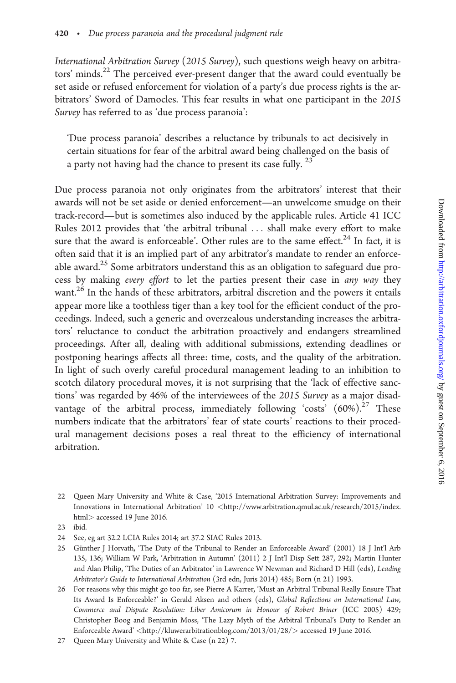International Arbitration Survey (2015 Survey), such questions weigh heavy on arbitrators' minds.22 The perceived ever-present danger that the award could eventually be set aside or refused enforcement for violation of a party's due process rights is the arbitrators' Sword of Damocles. This fear results in what one participant in the 2015 Survey has referred to as 'due process paranoia':

'Due process paranoia' describes a reluctance by tribunals to act decisively in certain situations for fear of the arbitral award being challenged on the basis of a party not having had the chance to present its case fully.<sup>23</sup>

Due process paranoia not only originates from the arbitrators' interest that their awards will not be set aside or denied enforcement—an unwelcome smudge on their track-record—but is sometimes also induced by the applicable rules. Article 41 ICC Rules 2012 provides that 'the arbitral tribunal ... shall make every effort to make sure that the award is enforceable'. Other rules are to the same effect. $^{24}$  In fact, it is often said that it is an implied part of any arbitrator's mandate to render an enforceable award.<sup>25</sup> Some arbitrators understand this as an obligation to safeguard due process by making every effort to let the parties present their case in any way they want.<sup>26</sup> In the hands of these arbitrators, arbitral discretion and the powers it entails appear more like a toothless tiger than a key tool for the efficient conduct of the proceedings. Indeed, such a generic and overzealous understanding increases the arbitrators' reluctance to conduct the arbitration proactively and endangers streamlined proceedings. After all, dealing with additional submissions, extending deadlines or postponing hearings affects all three: time, costs, and the quality of the arbitration. In light of such overly careful procedural management leading to an inhibition to scotch dilatory procedural moves, it is not surprising that the 'lack of effective sanctions' was regarded by 46% of the interviewees of the 2015 Survey as a major disadvantage of the arbitral process, immediately following 'costs'  $(60\%)$ <sup>27</sup> These numbers indicate that the arbitrators' fear of state courts' reactions to their procedural management decisions poses a real threat to the efficiency of international arbitration.

<sup>22</sup> Queen Mary University and White & Case, '2015 International Arbitration Survey: Improvements and Innovations in International Arbitration' 10 <[http://www.arbitration.qmul.ac.uk/research/2015/index.](http://www.arbitration.qmul.ac.uk/research/2015/index.html) [html](http://www.arbitration.qmul.ac.uk/research/2015/index.html)> accessed 19 June 2016.

<sup>23</sup> ibid.

<sup>24</sup> See, eg art 32.2 LCIA Rules 2014; art 37.2 SIAC Rules 2013.

<sup>25</sup> Günther J Horvath, 'The Duty of the Tribunal to Render an Enforceable Award' (2001) 18 J Int'l Arb 135, 136; William W Park, 'Arbitration in Autumn' (2011) 2 J Int'l Disp Sett 287, 292; Martin Hunter and Alan Philip, 'The Duties of an Arbitrator' in Lawrence W Newman and Richard D Hill (eds), Leading Arbitrator's Guide to International Arbitration (3rd edn, Juris 2014) 485; Born (n 21) 1993.

<sup>26</sup> For reasons why this might go too far, see Pierre A Karrer, 'Must an Arbitral Tribunal Really Ensure That Its Award Is Enforceable?' in Gerald Aksen and others (eds), Global Reflections on International Law, Commerce and Dispute Resolution: Liber Amicorum in Honour of Robert Briner (ICC 2005) 429; Christopher Boog and Benjamin Moss, 'The Lazy Myth of the Arbitral Tribunal's Duty to Render an Enforceable Award' <<http://kluwerarbitrationblog.com/2013/01/28/>> accessed 19 June 2016.

<sup>27</sup> Queen Mary University and White & Case (n 22) 7.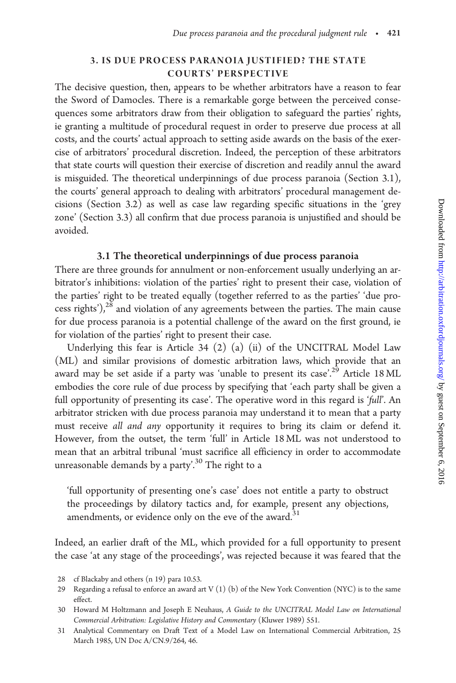# 3. IS DUE PROCESS PARANOIA JUSTIFIED? THE STATE COURTS' PERSPECTIVE

The decisive question, then, appears to be whether arbitrators have a reason to fear the Sword of Damocles. There is a remarkable gorge between the perceived consequences some arbitrators draw from their obligation to safeguard the parties' rights, ie granting a multitude of procedural request in order to preserve due process at all costs, and the courts' actual approach to setting aside awards on the basis of the exercise of arbitrators' procedural discretion. Indeed, the perception of these arbitrators that state courts will question their exercise of discretion and readily annul the award is misguided. The theoretical underpinnings of due process paranoia (Section 3.1), the courts' general approach to dealing with arbitrators' procedural management decisions (Section 3.2) as well as case law regarding specific situations in the 'grey zone' (Section 3.3) all confirm that due process paranoia is unjustified and should be avoided.

## 3.1 The theoretical underpinnings of due process paranoia

There are three grounds for annulment or non-enforcement usually underlying an arbitrator's inhibitions: violation of the parties' right to present their case, violation of the parties' right to be treated equally (together referred to as the parties' 'due process rights'), $2^{\overline{8}}$  and violation of any agreements between the parties. The main cause for due process paranoia is a potential challenge of the award on the first ground, ie for violation of the parties' right to present their case.

Underlying this fear is Article 34 (2) (a) (ii) of the UNCITRAL Model Law (ML) and similar provisions of domestic arbitration laws, which provide that an award may be set aside if a party was 'unable to present its case'.<sup>29</sup> Article 18 ML embodies the core rule of due process by specifying that 'each party shall be given a full opportunity of presenting its case'. The operative word in this regard is 'full'. An arbitrator stricken with due process paranoia may understand it to mean that a party must receive all and any opportunity it requires to bring its claim or defend it. However, from the outset, the term 'full' in Article 18 ML was not understood to mean that an arbitral tribunal 'must sacrifice all efficiency in order to accommodate unreasonable demands by a party'.<sup>30</sup> The right to a

'full opportunity of presenting one's case' does not entitle a party to obstruct the proceedings by dilatory tactics and, for example, present any objections, amendments, or evidence only on the eve of the award. $31$ 

Indeed, an earlier draft of the ML, which provided for a full opportunity to present the case 'at any stage of the proceedings', was rejected because it was feared that the

- 28 cf Blackaby and others (n 19) para 10.53.
- 29 Regarding a refusal to enforce an award art V (1) (b) of the New York Convention (NYC) is to the same effect.

<sup>30</sup> Howard M Holtzmann and Joseph E Neuhaus, A Guide to the UNCITRAL Model Law on International Commercial Arbitration: Legislative History and Commentary (Kluwer 1989) 551.

<sup>31</sup> Analytical Commentary on Draft Text of a Model Law on International Commercial Arbitration, 25 March 1985, UN Doc A/CN.9/264, 46.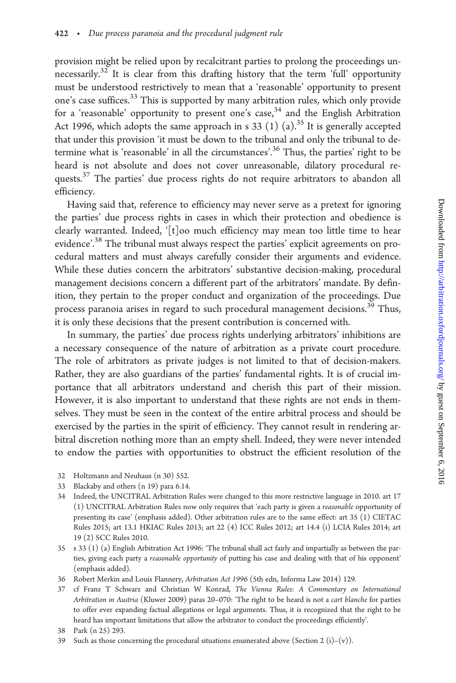provision might be relied upon by recalcitrant parties to prolong the proceedings unnecessarily.<sup>32</sup> It is clear from this drafting history that the term 'full' opportunity must be understood restrictively to mean that a 'reasonable' opportunity to present one's case suffices.33 This is supported by many arbitration rules, which only provide for a 'reasonable' opportunity to present one's case,<sup>34</sup> and the English Arbitration Act 1996, which adopts the same approach in s 33 (1) (a).<sup>35</sup> It is generally accepted that under this provision 'it must be down to the tribunal and only the tribunal to determine what is 'reasonable' in all the circumstances'.<sup>36</sup> Thus, the parties' right to be heard is not absolute and does not cover unreasonable, dilatory procedural requests.<sup>37</sup> The parties' due process rights do not require arbitrators to abandon all efficiency.

Having said that, reference to efficiency may never serve as a pretext for ignoring the parties' due process rights in cases in which their protection and obedience is clearly warranted. Indeed, '[t]oo much efficiency may mean too little time to hear evidence'.<sup>38</sup> The tribunal must always respect the parties' explicit agreements on procedural matters and must always carefully consider their arguments and evidence. While these duties concern the arbitrators' substantive decision-making, procedural management decisions concern a different part of the arbitrators' mandate. By definition, they pertain to the proper conduct and organization of the proceedings. Due process paranoia arises in regard to such procedural management decisions.<sup>39</sup> Thus, it is only these decisions that the present contribution is concerned with.

In summary, the parties' due process rights underlying arbitrators' inhibitions are a necessary consequence of the nature of arbitration as a private court procedure. The role of arbitrators as private judges is not limited to that of decision-makers. Rather, they are also guardians of the parties' fundamental rights. It is of crucial importance that all arbitrators understand and cherish this part of their mission. However, it is also important to understand that these rights are not ends in themselves. They must be seen in the context of the entire arbitral process and should be exercised by the parties in the spirit of efficiency. They cannot result in rendering arbitral discretion nothing more than an empty shell. Indeed, they were never intended to endow the parties with opportunities to obstruct the efficient resolution of the

- 32 Holtzmann and Neuhaus (n 30) 552.
- 33 Blackaby and others (n 19) para 6.14.
- 34 Indeed, the UNCITRAL Arbitration Rules were changed to this more restrictive language in 2010. art 17 (1) UNCITRAL Arbitration Rules now only requires that 'each party is given a reasonable opportunity of presenting its case' (emphasis added). Other arbitration rules are to the same effect: art 35 (1) CIETAC Rules 2015; art 13.1 HKIAC Rules 2013; art 22 (4) ICC Rules 2012; art 14.4 (i) LCIA Rules 2014; art 19 (2) SCC Rules 2010.
- 35 s 33 (1) (a) English Arbitration Act 1996: 'The tribunal shall act fairly and impartially as between the parties, giving each party a reasonable opportunity of putting his case and dealing with that of his opponent' (emphasis added).
- 36 Robert Merkin and Louis Flannery, Arbitration Act 1996 (5th edn, Informa Law 2014) 129.
- 37 cf Franz T Schwarz and Christian W Konrad, The Vienna Rules: A Commentary on International Arbitration in Austria (Kluwer 2009) paras 20–070: 'The right to be heard is not a cart blanche for parties to offer ever expanding factual allegations or legal arguments. Thus, it is recognized that the right to be heard has important limitations that allow the arbitrator to conduct the proceedings efficiently'.

39 Such as those concerning the procedural situations enumerated above (Section 2  $(i)-(v)$ ).

<sup>38</sup> Park (n 25) 293.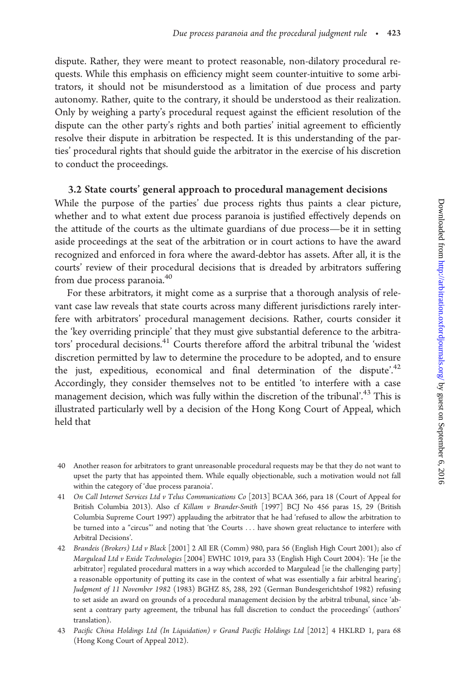dispute. Rather, they were meant to protect reasonable, non-dilatory procedural requests. While this emphasis on efficiency might seem counter-intuitive to some arbitrators, it should not be misunderstood as a limitation of due process and party autonomy. Rather, quite to the contrary, it should be understood as their realization. Only by weighing a party's procedural request against the efficient resolution of the dispute can the other party's rights and both parties' initial agreement to efficiently resolve their dispute in arbitration be respected. It is this understanding of the parties' procedural rights that should guide the arbitrator in the exercise of his discretion to conduct the proceedings.

#### 3.2 State courts' general approach to procedural management decisions

While the purpose of the parties' due process rights thus paints a clear picture, whether and to what extent due process paranoia is justified effectively depends on the attitude of the courts as the ultimate guardians of due process—be it in setting aside proceedings at the seat of the arbitration or in court actions to have the award recognized and enforced in fora where the award-debtor has assets. After all, it is the courts' review of their procedural decisions that is dreaded by arbitrators suffering from due process paranoia.<sup>40</sup>

For these arbitrators, it might come as a surprise that a thorough analysis of relevant case law reveals that state courts across many different jurisdictions rarely interfere with arbitrators' procedural management decisions. Rather, courts consider it the 'key overriding principle' that they must give substantial deference to the arbitrators' procedural decisions.<sup>41</sup> Courts therefore afford the arbitral tribunal the 'widest discretion permitted by law to determine the procedure to be adopted, and to ensure the just, expeditious, economical and final determination of the dispute<sup>'.42</sup> Accordingly, they consider themselves not to be entitled 'to interfere with a case management decision, which was fully within the discretion of the tribunal'.<sup>43</sup> This is illustrated particularly well by a decision of the Hong Kong Court of Appeal, which held that

- 40 Another reason for arbitrators to grant unreasonable procedural requests may be that they do not want to upset the party that has appointed them. While equally objectionable, such a motivation would not fall within the category of 'due process paranoia'.
- 41 On Call Internet Services Ltd v Telus Communications Co [2013] BCAA 366, para 18 (Court of Appeal for British Columbia 2013). Also cf Killam v Brander-Smith [1997] BCJ No 456 paras 15, 29 (British Columbia Supreme Court 1997) applauding the arbitrator that he had 'refused to allow the arbitration to be turned into a "circus"' and noting that 'the Courts ... have shown great reluctance to interfere with Arbitral Decisions'.
- 42 Brandeis (Brokers) Ltd v Black [2001] 2 All ER (Comm) 980, para 56 (English High Court 2001); also cf Margulead Ltd v Exide Technologies [2004] EWHC 1019, para 33 (English High Court 2004): 'He [ie the arbitrator] regulated procedural matters in a way which accorded to Margulead [ie the challenging party] a reasonable opportunity of putting its case in the context of what was essentially a fair arbitral hearing'; Judgment of 11 November 1982 (1983) BGHZ 85, 288, 292 (German Bundesgerichtshof 1982) refusing to set aside an award on grounds of a procedural management decision by the arbitral tribunal, since 'absent a contrary party agreement, the tribunal has full discretion to conduct the proceedings' (authors' translation).
- 43 Pacific China Holdings Ltd (In Liquidation) v Grand Pacific Holdings Ltd [2012] 4 HKLRD 1, para 68 (Hong Kong Court of Appeal 2012).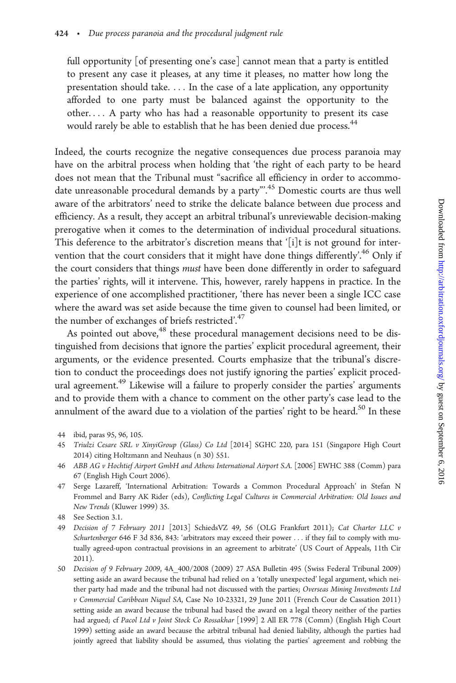full opportunity [of presenting one's case] cannot mean that a party is entitled to present any case it pleases, at any time it pleases, no matter how long the presentation should take. ... In the case of a late application, any opportunity afforded to one party must be balanced against the opportunity to the other. ... A party who has had a reasonable opportunity to present its case would rarely be able to establish that he has been denied due process.<sup>44</sup>

Indeed, the courts recognize the negative consequences due process paranoia may have on the arbitral process when holding that 'the right of each party to be heard does not mean that the Tribunal must "sacrifice all efficiency in order to accommodate unreasonable procedural demands by a party".<sup>45</sup> Domestic courts are thus well aware of the arbitrators' need to strike the delicate balance between due process and efficiency. As a result, they accept an arbitral tribunal's unreviewable decision-making prerogative when it comes to the determination of individual procedural situations. This deference to the arbitrator's discretion means that  $[i]$ t is not ground for intervention that the court considers that it might have done things differently.<sup>46</sup> Only if the court considers that things must have been done differently in order to safeguard the parties' rights, will it intervene. This, however, rarely happens in practice. In the experience of one accomplished practitioner, 'there has never been a single ICC case where the award was set aside because the time given to counsel had been limited, or the number of exchanges of briefs restricted'.<sup>47</sup>

As pointed out above,<sup>48</sup> these procedural management decisions need to be distinguished from decisions that ignore the parties' explicit procedural agreement, their arguments, or the evidence presented. Courts emphasize that the tribunal's discretion to conduct the proceedings does not justify ignoring the parties' explicit procedural agreement.<sup>49</sup> Likewise will a failure to properly consider the parties' arguments and to provide them with a chance to comment on the other party's case lead to the annulment of the award due to a violation of the parties' right to be heard.<sup>50</sup> In these

- 46 ABB AG v Hochtief Airport GmbH and Athens International Airport S.A. [2006] EWHC 388 (Comm) para 67 (English High Court 2006).
- 47 Serge Lazareff, 'International Arbitration: Towards a Common Procedural Approach' in Stefan N Frommel and Barry AK Rider (eds), Conflicting Legal Cultures in Commercial Arbitration: Old Issues and New Trends (Kluwer 1999) 35.
- 48 See Section 3.1.
- 49 Decision of 7 February 2011 [2013] SchiedsVZ 49, 56 (OLG Frankfurt 2011); Cat Charter LLC v Schurtenberger 646 F 3d 836, 843: 'arbitrators may exceed their power ... if they fail to comply with mutually agreed-upon contractual provisions in an agreement to arbitrate' (US Court of Appeals, 11th Cir 2011).
- 50 Decision of 9 February 2009, 4A\_400/2008 (2009) 27 ASA Bulletin 495 (Swiss Federal Tribunal 2009) setting aside an award because the tribunal had relied on a 'totally unexpected' legal argument, which neither party had made and the tribunal had not discussed with the parties; Overseas Mining Investments Ltd v Commercial Caribbean Niquel SA, Case No 10-23321, 29 June 2011 (French Cour de Cassation 2011) setting aside an award because the tribunal had based the award on a legal theory neither of the parties had argued; cf Pacol Ltd v Joint Stock Co Rossakhar [1999] 2 All ER 778 (Comm) (English High Court 1999) setting aside an award because the arbitral tribunal had denied liability, although the parties had jointly agreed that liability should be assumed, thus violating the parties' agreement and robbing the

<sup>44</sup> ibid, paras 95, 96, 105.

<sup>45</sup> Triulzi Cesare SRL v XinyiGroup (Glass) Co Ltd [2014] SGHC 220, para 151 (Singapore High Court 2014) citing Holtzmann and Neuhaus (n 30) 551.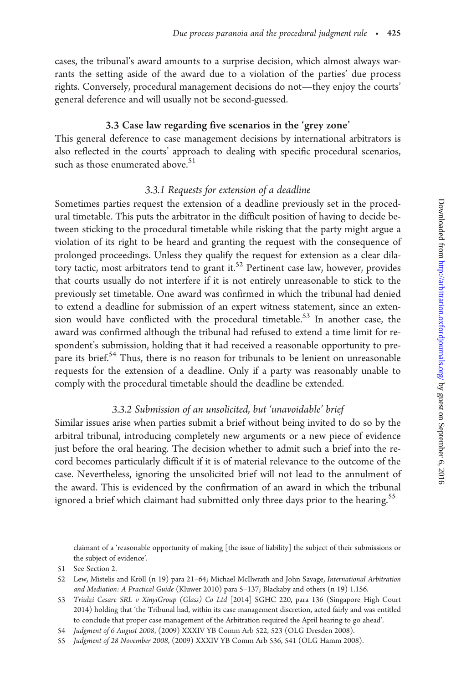cases, the tribunal's award amounts to a surprise decision, which almost always warrants the setting aside of the award due to a violation of the parties' due process rights. Conversely, procedural management decisions do not—they enjoy the courts' general deference and will usually not be second-guessed.

## 3.3 Case law regarding five scenarios in the 'grey zone'

This general deference to case management decisions by international arbitrators is also reflected in the courts' approach to dealing with specific procedural scenarios, such as those enumerated above.<sup>51</sup>

## 3.3.1 Requests for extension of a deadline

Sometimes parties request the extension of a deadline previously set in the procedural timetable. This puts the arbitrator in the difficult position of having to decide between sticking to the procedural timetable while risking that the party might argue a violation of its right to be heard and granting the request with the consequence of prolonged proceedings. Unless they qualify the request for extension as a clear dilatory tactic, most arbitrators tend to grant it.<sup>52</sup> Pertinent case law, however, provides that courts usually do not interfere if it is not entirely unreasonable to stick to the previously set timetable. One award was confirmed in which the tribunal had denied to extend a deadline for submission of an expert witness statement, since an extension would have conflicted with the procedural timetable.<sup>53</sup> In another case, the award was confirmed although the tribunal had refused to extend a time limit for respondent's submission, holding that it had received a reasonable opportunity to prepare its brief.<sup>54</sup> Thus, there is no reason for tribunals to be lenient on unreasonable requests for the extension of a deadline. Only if a party was reasonably unable to comply with the procedural timetable should the deadline be extended.

## 3.3.2 Submission of an unsolicited, but 'unavoidable' brief

Similar issues arise when parties submit a brief without being invited to do so by the arbitral tribunal, introducing completely new arguments or a new piece of evidence just before the oral hearing. The decision whether to admit such a brief into the record becomes particularly difficult if it is of material relevance to the outcome of the case. Nevertheless, ignoring the unsolicited brief will not lead to the annulment of the award. This is evidenced by the confirmation of an award in which the tribunal ignored a brief which claimant had submitted only three days prior to the hearing.<sup>55</sup>

claimant of a 'reasonable opportunity of making [the issue of liability] the subject of their submissions or the subject of evidence'.

<sup>51</sup> See Section 2.

<sup>52</sup> Lew, Mistelis and Kröll (n 19) para 21-64; Michael McIlwrath and John Savage, International Arbitration and Mediation: A Practical Guide (Kluwer 2010) para 5–137; Blackaby and others (n 19) 1.156.

<sup>53</sup> Triulzi Cesare SRL v XinyiGroup (Glass) Co Ltd [2014] SGHC 220, para 136 (Singapore High Court 2014) holding that 'the Tribunal had, within its case management discretion, acted fairly and was entitled to conclude that proper case management of the Arbitration required the April hearing to go ahead'.

<sup>54</sup> Judgment of 6 August 2008, (2009) XXXIV YB Comm Arb 522, 523 (OLG Dresden 2008).

<sup>55</sup> Judgment of 28 November 2008, (2009) XXXIV YB Comm Arb 536, 541 (OLG Hamm 2008).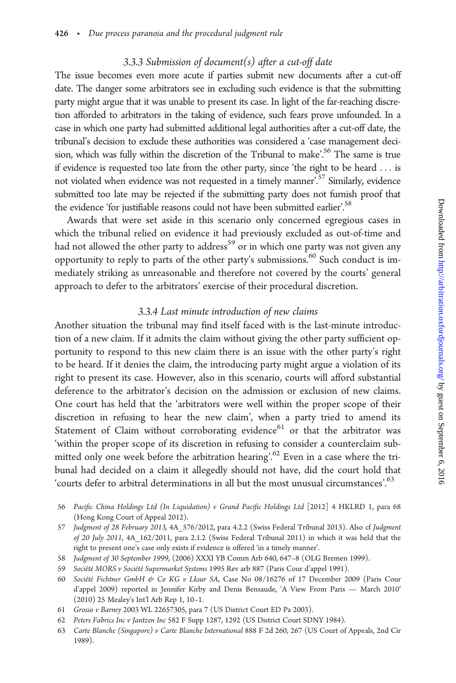#### 3.3.3 Submission of document(s) after a cut-off date

The issue becomes even more acute if parties submit new documents after a cut-off date. The danger some arbitrators see in excluding such evidence is that the submitting party might argue that it was unable to present its case. In light of the far-reaching discretion afforded to arbitrators in the taking of evidence, such fears prove unfounded. In a case in which one party had submitted additional legal authorities after a cut-off date, the tribunal's decision to exclude these authorities was considered a 'case management decision, which was fully within the discretion of the Tribunal to make<sup>556</sup> The same is true if evidence is requested too late from the other party, since 'the right to be heard ... is not violated when evidence was not requested in a timely manner'.57 Similarly, evidence submitted too late may be rejected if the submitting party does not furnish proof that the evidence 'for justifiable reasons could not have been submitted earlier'.<sup>58</sup>

Awards that were set aside in this scenario only concerned egregious cases in which the tribunal relied on evidence it had previously excluded as out-of-time and had not allowed the other party to address<sup>59</sup> or in which one party was not given any opportunity to reply to parts of the other party's submissions.<sup>60</sup> Such conduct is immediately striking as unreasonable and therefore not covered by the courts' general approach to defer to the arbitrators' exercise of their procedural discretion.

#### 3.3.4 Last minute introduction of new claims

Another situation the tribunal may find itself faced with is the last-minute introduction of a new claim. If it admits the claim without giving the other party sufficient opportunity to respond to this new claim there is an issue with the other party's right to be heard. If it denies the claim, the introducing party might argue a violation of its right to present its case. However, also in this scenario, courts will afford substantial deference to the arbitrator's decision on the admission or exclusion of new claims. One court has held that the 'arbitrators were well within the proper scope of their discretion in refusing to hear the new claim', when a party tried to amend its Statement of Claim without corroborating evidence $61$  or that the arbitrator was 'within the proper scope of its discretion in refusing to consider a counterclaim submitted only one week before the arbitration hearing'.<sup>62</sup> Even in a case where the tribunal had decided on a claim it allegedly should not have, did the court hold that 'courts defer to arbitral determinations in all but the most unusual circumstances'.63

- 56 Pacific China Holdings Ltd (In Liquidation) v Grand Pacific Holdings Ltd [2012] 4 HKLRD 1, para 68 (Hong Kong Court of Appeal 2012).
- 57 Judgment of 28 February 2013, 4A\_576/2012, para 4.2.2 (Swiss Federal Tribunal 2013). Also cf Judgment of 20 July 2011, 4A\_162/2011, para 2.1.2 (Swiss Federal Tribunal 2011) in which it was held that the right to present one's case only exists if evidence is offered 'in a timely manner'.
- 58 Judgment of 30 September 1999, (2006) XXXI YB Comm Arb 640, 647–8 (OLG Bremen 1999).
- 59 Société MORS v Société Supermarket Systems 1995 Rev arb 887 (Paris Cour d'appel 1991).
- 60 Société Fichtner GmbH & Co KG v Lksur SA, Case No 08/16276 of 17 December 2009 (Paris Cour d'appel 2009) reported in Jennifer Kirby and Denis Bensaude, 'A View From Paris — March 2010' (2010) 25 Mealey's Int'l Arb Rep 1, 10–1.
- 61 Grosso v Barney 2003 WL 22657305, para 7 (US District Court ED Pa 2003).
- 62 Peters Fabrics Inc v Jantzen Inc 582 F Supp 1287, 1292 (US District Court SDNY 1984).
- 63 Carte Blanche (Singapore) v Carte Blanche International 888 F 2d 260, 267 (US Court of Appeals, 2nd Cir 1989).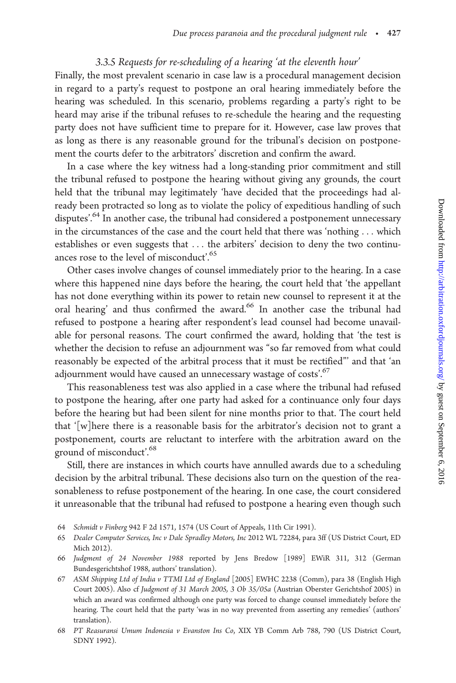#### 3.3.5 Requests for re-scheduling of a hearing 'at the eleventh hour'

Finally, the most prevalent scenario in case law is a procedural management decision in regard to a party's request to postpone an oral hearing immediately before the hearing was scheduled. In this scenario, problems regarding a party's right to be heard may arise if the tribunal refuses to re-schedule the hearing and the requesting party does not have sufficient time to prepare for it. However, case law proves that as long as there is any reasonable ground for the tribunal's decision on postponement the courts defer to the arbitrators' discretion and confirm the award.

In a case where the key witness had a long-standing prior commitment and still the tribunal refused to postpone the hearing without giving any grounds, the court held that the tribunal may legitimately 'have decided that the proceedings had already been protracted so long as to violate the policy of expeditious handling of such disputes'.<sup>64</sup> In another case, the tribunal had considered a postponement unnecessary in the circumstances of the case and the court held that there was 'nothing ... which establishes or even suggests that ... the arbiters' decision to deny the two continuances rose to the level of misconduct'.<sup>65</sup>

Other cases involve changes of counsel immediately prior to the hearing. In a case where this happened nine days before the hearing, the court held that 'the appellant has not done everything within its power to retain new counsel to represent it at the oral hearing' and thus confirmed the award.<sup>66</sup> In another case the tribunal had refused to postpone a hearing after respondent's lead counsel had become unavailable for personal reasons. The court confirmed the award, holding that 'the test is whether the decision to refuse an adjournment was "so far removed from what could reasonably be expected of the arbitral process that it must be rectified"' and that 'an adjournment would have caused an unnecessary wastage of costs'.<sup>67</sup>

This reasonableness test was also applied in a case where the tribunal had refused to postpone the hearing, after one party had asked for a continuance only four days before the hearing but had been silent for nine months prior to that. The court held that '[w]here there is a reasonable basis for the arbitrator's decision not to grant a postponement, courts are reluctant to interfere with the arbitration award on the ground of misconduct'.<sup>68</sup>

Still, there are instances in which courts have annulled awards due to a scheduling decision by the arbitral tribunal. These decisions also turn on the question of the reasonableness to refuse postponement of the hearing. In one case, the court considered it unreasonable that the tribunal had refused to postpone a hearing even though such

- 64 Schmidt v Finberg 942 F 2d 1571, 1574 (US Court of Appeals, 11th Cir 1991).
- 65 Dealer Computer Services, Inc v Dale Spradley Motors, Inc 2012 WL 72284, para 3ff (US District Court, ED Mich 2012).
- 66 Judgment of 24 November 1988 reported by Jens Bredow [1989] EWiR 311, 312 (German Bundesgerichtshof 1988, authors' translation).
- 67 ASM Shipping Ltd of India v TTMI Ltd of England [2005] EWHC 2238 (Comm), para 38 (English High Court 2005). Also cf Judgment of 31 March 2005, 3 Ob 35/05a (Austrian Oberster Gerichtshof 2005) in which an award was confirmed although one party was forced to change counsel immediately before the hearing. The court held that the party 'was in no way prevented from asserting any remedies' (authors' translation).
- 68 PT Reasuransi Umum Indonesia v Evanston Ins Co, XIX YB Comm Arb 788, 790 (US District Court, SDNY 1992).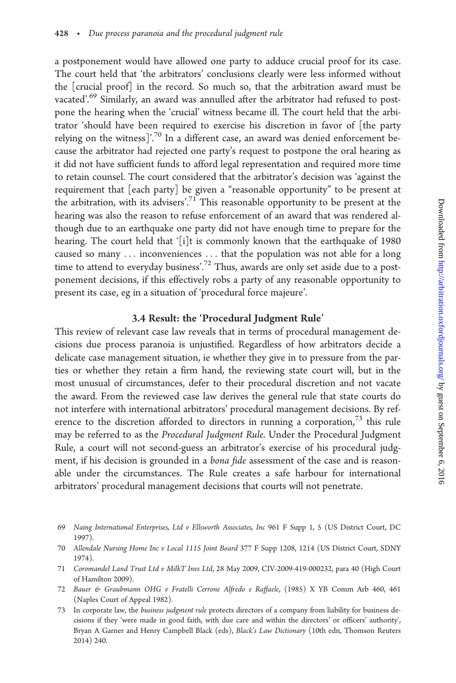a postponement would have allowed one party to adduce crucial proof for its case. The court held that 'the arbitrators' conclusions clearly were less informed without the [crucial proof] in the record. So much so, that the arbitration award must be vacated'.<sup>69</sup> Similarly, an award was annulled after the arbitrator had refused to postpone the hearing when the 'crucial' witness became ill. The court held that the arbitrator 'should have been required to exercise his discretion in favor of [the party relying on the witness]<sup>'.70</sup> In a different case, an award was denied enforcement because the arbitrator had rejected one party's request to postpone the oral hearing as it did not have sufficient funds to afford legal representation and required more time to retain counsel. The court considered that the arbitrator's decision was 'against the requirement that [each party] be given a "reasonable opportunity" to be present at the arbitration, with its advisers'.<sup>71</sup> This reasonable opportunity to be present at the hearing was also the reason to refuse enforcement of an award that was rendered although due to an earthquake one party did not have enough time to prepare for the hearing. The court held that '[i]t is commonly known that the earthquake of 1980 caused so many ... inconveniences ... that the population was not able for a long time to attend to everyday business'.<sup>72</sup> Thus, awards are only set aside due to a postponement decisions, if this effectively robs a party of any reasonable opportunity to present its case, eg in a situation of 'procedural force majeure'.

#### 3.4 Result: the 'Procedural Judgment Rule'

This review of relevant case law reveals that in terms of procedural management decisions due process paranoia is unjustified. Regardless of how arbitrators decide a delicate case management situation, ie whether they give in to pressure from the parties or whether they retain a firm hand, the reviewing state court will, but in the most unusual of circumstances, defer to their procedural discretion and not vacate the award. From the reviewed case law derives the general rule that state courts do not interfere with international arbitrators' procedural management decisions. By reference to the discretion afforded to directors in running a corporation, $73$  this rule may be referred to as the Procedural Judgment Rule. Under the Procedural Judgment Rule, a court will not second-guess an arbitrator's exercise of his procedural judgment, if his decision is grounded in a bona fide assessment of the case and is reasonable under the circumstances. The Rule creates a safe harbour for international arbitrators' procedural management decisions that courts will not penetrate.

- 69 Naing International Enterprises, Ltd v Ellsworth Associates, Inc 961 F Supp 1, 5 (US District Court, DC 1997).
- 70 Allendale Nursing Home Inc v Local 1115 Joint Board 377 F Supp 1208, 1214 (US District Court, SDNY 1974).
- 71 Coromandel Land Trust Ltd v MilkT Invs Ltd, 28 May 2009, CIV-2009-419-000232, para 40 (High Court of Hamilton 2009).
- 72 Bauer & Graubmann OHG v Fratelli Cerrone Alfredo e Raffaele, (1985) X YB Comm Arb 460, 461 (Naples Court of Appeal 1982).

73 In corporate law, the business judgment rule protects directors of a company from liability for business decisions if they 'were made in good faith, with due care and within the directors' or officers' authority', Bryan A Garner and Henry Campbell Black (eds), Black's Law Dictionary (10th edn, Thomson Reuters 2014) 240.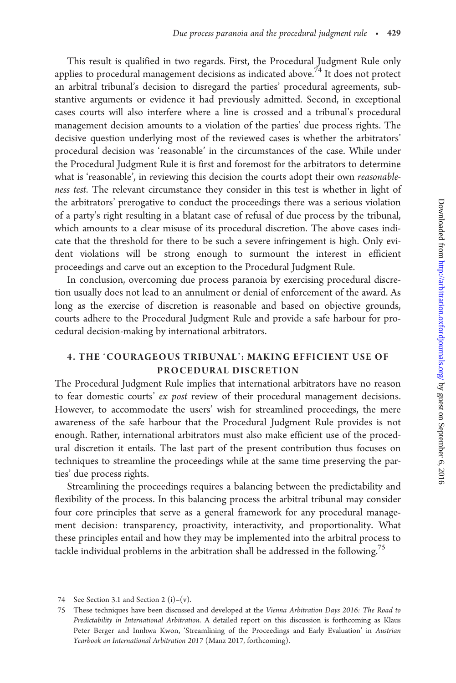This result is qualified in two regards. First, the Procedural Judgment Rule only applies to procedural management decisions as indicated above.<sup>74</sup> It does not protect an arbitral tribunal's decision to disregard the parties' procedural agreements, substantive arguments or evidence it had previously admitted. Second, in exceptional cases courts will also interfere where a line is crossed and a tribunal's procedural management decision amounts to a violation of the parties' due process rights. The decisive question underlying most of the reviewed cases is whether the arbitrators' procedural decision was 'reasonable' in the circumstances of the case. While under the Procedural Judgment Rule it is first and foremost for the arbitrators to determine what is 'reasonable', in reviewing this decision the courts adopt their own reasonableness test. The relevant circumstance they consider in this test is whether in light of the arbitrators' prerogative to conduct the proceedings there was a serious violation of a party's right resulting in a blatant case of refusal of due process by the tribunal, which amounts to a clear misuse of its procedural discretion. The above cases indicate that the threshold for there to be such a severe infringement is high. Only evident violations will be strong enough to surmount the interest in efficient proceedings and carve out an exception to the Procedural Judgment Rule.

In conclusion, overcoming due process paranoia by exercising procedural discretion usually does not lead to an annulment or denial of enforcement of the award. As long as the exercise of discretion is reasonable and based on objective grounds, courts adhere to the Procedural Judgment Rule and provide a safe harbour for procedural decision-making by international arbitrators.

## 4. THE 'COURAGEOUS TRIBUNAL': MAKING EFFICIENT USE OF PROCEDURAL DISCRETION

The Procedural Judgment Rule implies that international arbitrators have no reason to fear domestic courts' ex post review of their procedural management decisions. However, to accommodate the users' wish for streamlined proceedings, the mere awareness of the safe harbour that the Procedural Judgment Rule provides is not enough. Rather, international arbitrators must also make efficient use of the procedural discretion it entails. The last part of the present contribution thus focuses on techniques to streamline the proceedings while at the same time preserving the parties' due process rights.

Streamlining the proceedings requires a balancing between the predictability and flexibility of the process. In this balancing process the arbitral tribunal may consider four core principles that serve as a general framework for any procedural management decision: transparency, proactivity, interactivity, and proportionality. What these principles entail and how they may be implemented into the arbitral process to tackle individual problems in the arbitration shall be addressed in the following.<sup>75</sup>

<sup>74</sup> See Section 3.1 and Section 2 (i)–(v).

<sup>75</sup> These techniques have been discussed and developed at the Vienna Arbitration Days 2016: The Road to Predictability in International Arbitration. A detailed report on this discussion is forthcoming as Klaus Peter Berger and Innhwa Kwon, 'Streamlining of the Proceedings and Early Evaluation' in Austrian Yearbook on International Arbitration 2017 (Manz 2017, forthcoming).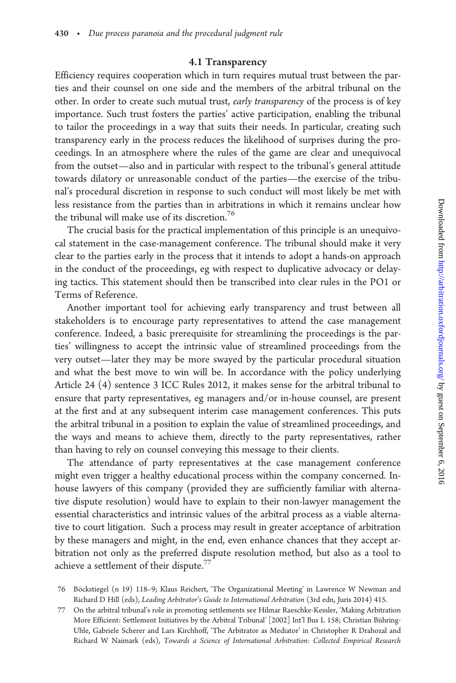#### 4.1 Transparency

Efficiency requires cooperation which in turn requires mutual trust between the parties and their counsel on one side and the members of the arbitral tribunal on the other. In order to create such mutual trust, early transparency of the process is of key importance. Such trust fosters the parties' active participation, enabling the tribunal to tailor the proceedings in a way that suits their needs. In particular, creating such transparency early in the process reduces the likelihood of surprises during the proceedings. In an atmosphere where the rules of the game are clear and unequivocal from the outset—also and in particular with respect to the tribunal's general attitude towards dilatory or unreasonable conduct of the parties—the exercise of the tribunal's procedural discretion in response to such conduct will most likely be met with less resistance from the parties than in arbitrations in which it remains unclear how the tribunal will make use of its discretion.<sup>76</sup>

The crucial basis for the practical implementation of this principle is an unequivocal statement in the case-management conference. The tribunal should make it very clear to the parties early in the process that it intends to adopt a hands-on approach in the conduct of the proceedings, eg with respect to duplicative advocacy or delaying tactics. This statement should then be transcribed into clear rules in the PO1 or Terms of Reference.

Another important tool for achieving early transparency and trust between all stakeholders is to encourage party representatives to attend the case management conference. Indeed, a basic prerequisite for streamlining the proceedings is the parties' willingness to accept the intrinsic value of streamlined proceedings from the very outset—later they may be more swayed by the particular procedural situation and what the best move to win will be. In accordance with the policy underlying Article 24 (4) sentence 3 ICC Rules 2012, it makes sense for the arbitral tribunal to ensure that party representatives, eg managers and/or in-house counsel, are present at the first and at any subsequent interim case management conferences. This puts the arbitral tribunal in a position to explain the value of streamlined proceedings, and the ways and means to achieve them, directly to the party representatives, rather than having to rely on counsel conveying this message to their clients.

The attendance of party representatives at the case management conference might even trigger a healthy educational process within the company concerned. Inhouse lawyers of this company (provided they are sufficiently familiar with alternative dispute resolution) would have to explain to their non-lawyer management the essential characteristics and intrinsic values of the arbitral process as a viable alternative to court litigation. Such a process may result in greater acceptance of arbitration by these managers and might, in the end, even enhance chances that they accept arbitration not only as the preferred dispute resolution method, but also as a tool to achieve a settlement of their dispute.<sup>77</sup>

- 76 Böckstiegel (n 19) 118-9; Klaus Reichert, 'The Organizational Meeting' in Lawrence W Newman and Richard D Hill (eds), Leading Arbitrator's Guide to International Arbitration (3rd edn, Juris 2014) 415.
- 77 On the arbitral tribunal's role in promoting settlements see Hilmar Raeschke-Kessler, 'Making Arbitration More Efficient: Settlement Initiatives by the Arbitral Tribunal' [2002] Int'l Bus L 158; Christian Bühring-Uhle, Gabriele Scherer and Lars Kirchhoff, 'The Arbitrator as Mediator' in Christopher R Drahozal and Richard W Naimark (eds), Towards a Science of International Arbitration: Collected Empirical Research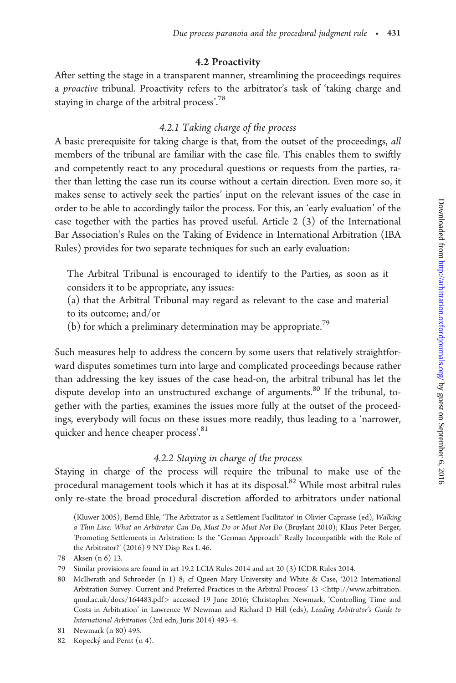## 4.2 Proactivity

After setting the stage in a transparent manner, streamlining the proceedings requires a *proactive* tribunal. Proactivity refers to the arbitrator's task of 'taking charge and staving in charge of the arbitral process'.<sup>78</sup>

# 4.2.1 Taking charge of the process

A basic prerequisite for taking charge is that, from the outset of the proceedings, all members of the tribunal are familiar with the case file. This enables them to swiftly and competently react to any procedural questions or requests from the parties, rather than letting the case run its course without a certain direction. Even more so, it makes sense to actively seek the parties' input on the relevant issues of the case in order to be able to accordingly tailor the process. For this, an 'early evaluation' of the case together with the parties has proved useful. Article 2 (3) of the International Bar Association's Rules on the Taking of Evidence in International Arbitration (IBA Rules) provides for two separate techniques for such an early evaluation:

The Arbitral Tribunal is encouraged to identify to the Parties, as soon as it considers it to be appropriate, any issues:

(a) that the Arbitral Tribunal may regard as relevant to the case and material to its outcome; and/or

(b) for which a preliminary determination may be appropriate.79

Such measures help to address the concern by some users that relatively straightforward disputes sometimes turn into large and complicated proceedings because rather than addressing the key issues of the case head-on, the arbitral tribunal has let the dispute develop into an unstructured exchange of arguments.<sup>80</sup> If the tribunal, together with the parties, examines the issues more fully at the outset of the proceedings, everybody will focus on these issues more readily, thus leading to a 'narrower, quicker and hence cheaper process'.<sup>81</sup>

## 4.2.2 Staying in charge of the process

Staying in charge of the process will require the tribunal to make use of the procedural management tools which it has at its disposal.<sup>82</sup> While most arbitral rules only re-state the broad procedural discretion afforded to arbitrators under national

(Kluwer 2005); Bernd Ehle, 'The Arbitrator as a Settlement Facilitator' in Olivier Caprasse (ed), Walking a Thin Line: What an Arbitrator Can Do, Must Do or Must Not Do (Bruylant 2010); Klaus Peter Berger, 'Promoting Settlements in Arbitration: Is the "German Approach" Really Incompatible with the Role of the Arbitrator?' (2016) 9 NY Disp Res L 46.

<sup>78</sup> Aksen (n 6) 13.

<sup>79</sup> Similar provisions are found in art 19.2 LCIA Rules 2014 and art 20 (3) ICDR Rules 2014.

<sup>80</sup> McIlwrath and Schroeder (n 1) 8; cf Queen Mary University and White & Case, '2012 International Arbitration Survey: Current and Preferred Practices in the Arbitral Process' 13 <[http://www.arbitration.](http://www.arbitration.qmul.ac.uk/docs/164483.pdf) [qmul.ac.uk/docs/164483.pdf](http://www.arbitration.qmul.ac.uk/docs/164483.pdf)> accessed 19 June 2016; Christopher Newmark, 'Controlling Time and Costs in Arbitration' in Lawrence W Newman and Richard D Hill (eds), Leading Arbitrator's Guide to International Arbitration (3rd edn, Juris 2014) 493–4.

<sup>81</sup> Newmark (n 80) 495.

<sup>82</sup> Kopecký and Pernt (n 4).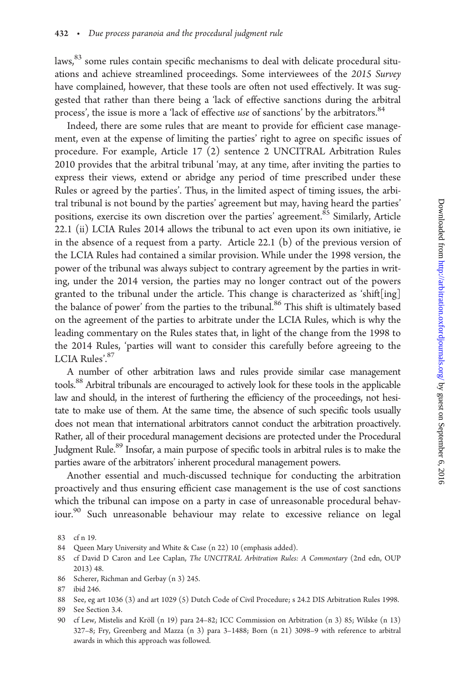laws,<sup>83</sup> some rules contain specific mechanisms to deal with delicate procedural situations and achieve streamlined proceedings. Some interviewees of the 2015 Survey have complained, however, that these tools are often not used effectively. It was suggested that rather than there being a 'lack of effective sanctions during the arbitral process', the issue is more a 'lack of effective use of sanctions' by the arbitrators.<sup>84</sup>

Indeed, there are some rules that are meant to provide for efficient case management, even at the expense of limiting the parties' right to agree on specific issues of procedure. For example, Article 17 (2) sentence 2 UNCITRAL Arbitration Rules 2010 provides that the arbitral tribunal 'may, at any time, after inviting the parties to express their views, extend or abridge any period of time prescribed under these Rules or agreed by the parties'. Thus, in the limited aspect of timing issues, the arbitral tribunal is not bound by the parties' agreement but may, having heard the parties' positions, exercise its own discretion over the parties' agreement.<sup>85</sup> Similarly, Article 22.1 (ii) LCIA Rules 2014 allows the tribunal to act even upon its own initiative, ie in the absence of a request from a party. Article 22.1 (b) of the previous version of the LCIA Rules had contained a similar provision. While under the 1998 version, the power of the tribunal was always subject to contrary agreement by the parties in writing, under the 2014 version, the parties may no longer contract out of the powers granted to the tribunal under the article. This change is characterized as 'shift[ing] the balance of power' from the parties to the tribunal.<sup>86</sup> This shift is ultimately based on the agreement of the parties to arbitrate under the LCIA Rules, which is why the leading commentary on the Rules states that, in light of the change from the 1998 to the 2014 Rules, 'parties will want to consider this carefully before agreeing to the LCIA Rules'.<sup>87</sup>

A number of other arbitration laws and rules provide similar case management tools.88 Arbitral tribunals are encouraged to actively look for these tools in the applicable law and should, in the interest of furthering the efficiency of the proceedings, not hesitate to make use of them. At the same time, the absence of such specific tools usually does not mean that international arbitrators cannot conduct the arbitration proactively. Rather, all of their procedural management decisions are protected under the Procedural Judgment Rule.<sup>89</sup> Insofar, a main purpose of specific tools in arbitral rules is to make the parties aware of the arbitrators' inherent procedural management powers.

Another essential and much-discussed technique for conducting the arbitration proactively and thus ensuring efficient case management is the use of cost sanctions which the tribunal can impose on a party in case of unreasonable procedural behaviour.<sup>90</sup> Such unreasonable behaviour may relate to excessive reliance on legal

86 Scherer, Richman and Gerbay (n 3) 245.

89 See Section 3.4.

<sup>83</sup> cf n 19.

<sup>84</sup> Queen Mary University and White & Case (n 22) 10 (emphasis added).

<sup>85</sup> cf David D Caron and Lee Caplan, The UNCITRAL Arbitration Rules: A Commentary (2nd edn, OUP 2013) 48.

<sup>87</sup> ibid 246.

<sup>88</sup> See, eg art 1036 (3) and art 1029 (5) Dutch Code of Civil Procedure; s 24.2 DIS Arbitration Rules 1998.

<sup>90</sup> cf Lew, Mistelis and Kröll (n 19) para 24–82; ICC Commission on Arbitration (n 3) 85; Wilske (n 13) 327–8; Fry, Greenberg and Mazza (n 3) para 3–1488; Born (n 21) 3098–9 with reference to arbitral awards in which this approach was followed.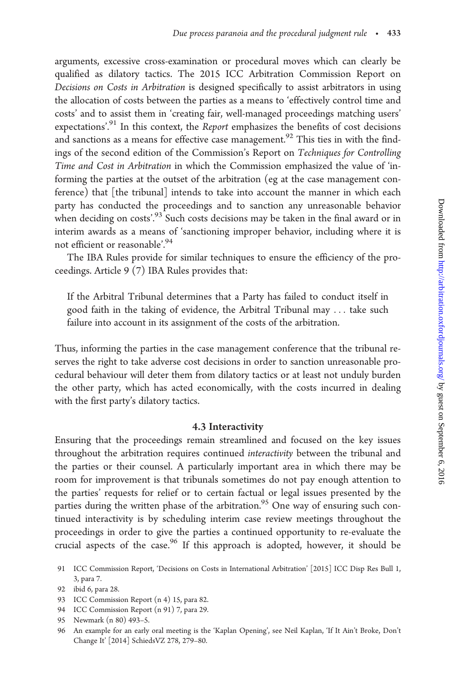arguments, excessive cross-examination or procedural moves which can clearly be qualified as dilatory tactics. The 2015 ICC Arbitration Commission Report on Decisions on Costs in Arbitration is designed specifically to assist arbitrators in using the allocation of costs between the parties as a means to 'effectively control time and costs' and to assist them in 'creating fair, well-managed proceedings matching users' expectations'.<sup>91</sup> In this context, the *Report* emphasizes the benefits of cost decisions and sanctions as a means for effective case management.<sup>92</sup> This ties in with the findings of the second edition of the Commission's Report on Techniques for Controlling Time and Cost in Arbitration in which the Commission emphasized the value of 'informing the parties at the outset of the arbitration (eg at the case management conference) that [the tribunal] intends to take into account the manner in which each party has conducted the proceedings and to sanction any unreasonable behavior when deciding on costs'.<sup>93</sup> Such costs decisions may be taken in the final award or in interim awards as a means of 'sanctioning improper behavior, including where it is not efficient or reasonable'.<sup>94</sup>

The IBA Rules provide for similar techniques to ensure the efficiency of the proceedings. Article 9 (7) IBA Rules provides that:

If the Arbitral Tribunal determines that a Party has failed to conduct itself in good faith in the taking of evidence, the Arbitral Tribunal may ... take such failure into account in its assignment of the costs of the arbitration.

Thus, informing the parties in the case management conference that the tribunal reserves the right to take adverse cost decisions in order to sanction unreasonable procedural behaviour will deter them from dilatory tactics or at least not unduly burden the other party, which has acted economically, with the costs incurred in dealing with the first party's dilatory tactics.

### 4.3 Interactivity

Ensuring that the proceedings remain streamlined and focused on the key issues throughout the arbitration requires continued interactivity between the tribunal and the parties or their counsel. A particularly important area in which there may be room for improvement is that tribunals sometimes do not pay enough attention to the parties' requests for relief or to certain factual or legal issues presented by the parties during the written phase of the arbitration.<sup>95</sup> One way of ensuring such continued interactivity is by scheduling interim case review meetings throughout the proceedings in order to give the parties a continued opportunity to re-evaluate the crucial aspects of the case.<sup>96</sup> If this approach is adopted, however, it should be

<sup>91</sup> ICC Commission Report, 'Decisions on Costs in International Arbitration' [2015] ICC Disp Res Bull 1, 3, para 7.

<sup>92</sup> ibid 6, para 28.

<sup>93</sup> ICC Commission Report (n 4) 15, para 82.

<sup>94</sup> ICC Commission Report (n 91) 7, para 29.

<sup>95</sup> Newmark (n 80) 493–5.

<sup>96</sup> An example for an early oral meeting is the 'Kaplan Opening', see Neil Kaplan, 'If It Ain't Broke, Don't Change It' [2014] SchiedsVZ 278, 279–80.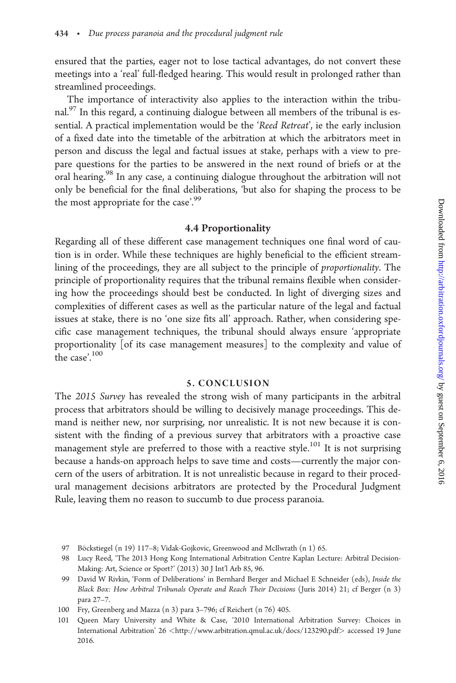ensured that the parties, eager not to lose tactical advantages, do not convert these meetings into a 'real' full-fledged hearing. This would result in prolonged rather than streamlined proceedings.

The importance of interactivity also applies to the interaction within the tribunal.<sup>97</sup> In this regard, a continuing dialogue between all members of the tribunal is essential. A practical implementation would be the 'Reed Retreat', ie the early inclusion of a fixed date into the timetable of the arbitration at which the arbitrators meet in person and discuss the legal and factual issues at stake, perhaps with a view to prepare questions for the parties to be answered in the next round of briefs or at the oral hearing.<sup>98</sup> In any case, a continuing dialogue throughout the arbitration will not only be beneficial for the final deliberations, 'but also for shaping the process to be the most appropriate for the case'.<sup>99</sup>

#### 4.4 Proportionality

Regarding all of these different case management techniques one final word of caution is in order. While these techniques are highly beneficial to the efficient streamlining of the proceedings, they are all subject to the principle of proportionality. The principle of proportionality requires that the tribunal remains flexible when considering how the proceedings should best be conducted. In light of diverging sizes and complexities of different cases as well as the particular nature of the legal and factual issues at stake, there is no 'one size fits all' approach. Rather, when considering specific case management techniques, the tribunal should always ensure 'appropriate proportionality [of its case management measures] to the complexity and value of the case'.<sup>100</sup>

## 5. CONCLUSION

The 2015 Survey has revealed the strong wish of many participants in the arbitral process that arbitrators should be willing to decisively manage proceedings. This demand is neither new, nor surprising, nor unrealistic. It is not new because it is consistent with the finding of a previous survey that arbitrators with a proactive case management style are preferred to those with a reactive style.<sup>101</sup> It is not surprising because a hands-on approach helps to save time and costs—currently the major concern of the users of arbitration. It is not unrealistic because in regard to their procedural management decisions arbitrators are protected by the Procedural Judgment Rule, leaving them no reason to succumb to due process paranoia.

101 Queen Mary University and White & Case, '2010 International Arbitration Survey: Choices in International Arbitration' 26 <<http://www.arbitration.qmul.ac.uk/docs/123290.pdf>> accessed 19 June 2016.

<sup>97</sup> Böckstiegel (n 19) 117-8; Vidak-Gojkovic, Greenwood and McIlwrath (n 1) 65.

<sup>98</sup> Lucy Reed, 'The 2013 Hong Kong International Arbitration Centre Kaplan Lecture: Arbitral Decision-Making: Art, Science or Sport?' (2013) 30 J Int'l Arb 85, 96.

<sup>99</sup> David W Rivkin, 'Form of Deliberations' in Bernhard Berger and Michael E Schneider (eds), Inside the Black Box: How Arbitral Tribunals Operate and Reach Their Decisions (Juris 2014) 21; cf Berger (n 3) para 27–7.

<sup>100</sup> Fry, Greenberg and Mazza (n 3) para 3–796; cf Reichert (n 76) 405.